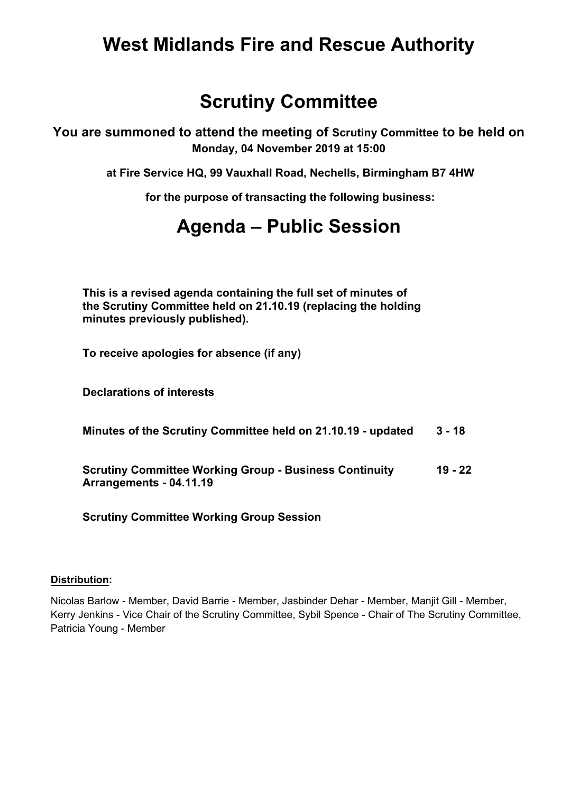## **West Midlands Fire and Rescue Authority**

## **Scrutiny Committee**

**You are summoned to attend the meeting of Scrutiny Committee to be held on Monday, 04 November 2019 at 15:00**

**at Fire Service HQ, 99 Vauxhall Road, Nechells, Birmingham B7 4HW**

**for the purpose of transacting the following business:**

## **Agenda – Public Session**

**This is a revised agenda containing the full set of minutes of the Scrutiny Committee held on 21.10.19 (replacing the holding minutes previously published).**

**To receive apologies for absence (if any)**

**Declarations of interests**

**Minutes of the Scrutiny Committee held on 21.10.19 updated 3 18**

**Scrutiny Committee Working Group Business Continuity Arrangements 04.11.19 19 22**

**Scrutiny Committee Working Group Session**

## **Distribution:**

Nicolas Barlow - Member, David Barrie - Member, Jasbinder Dehar - Member, Manjit Gill - Member, Kerry Jenkins - Vice Chair of the Scrutiny Committee, Sybil Spence - Chair of The Scrutiny Committee, Patricia Young - Member